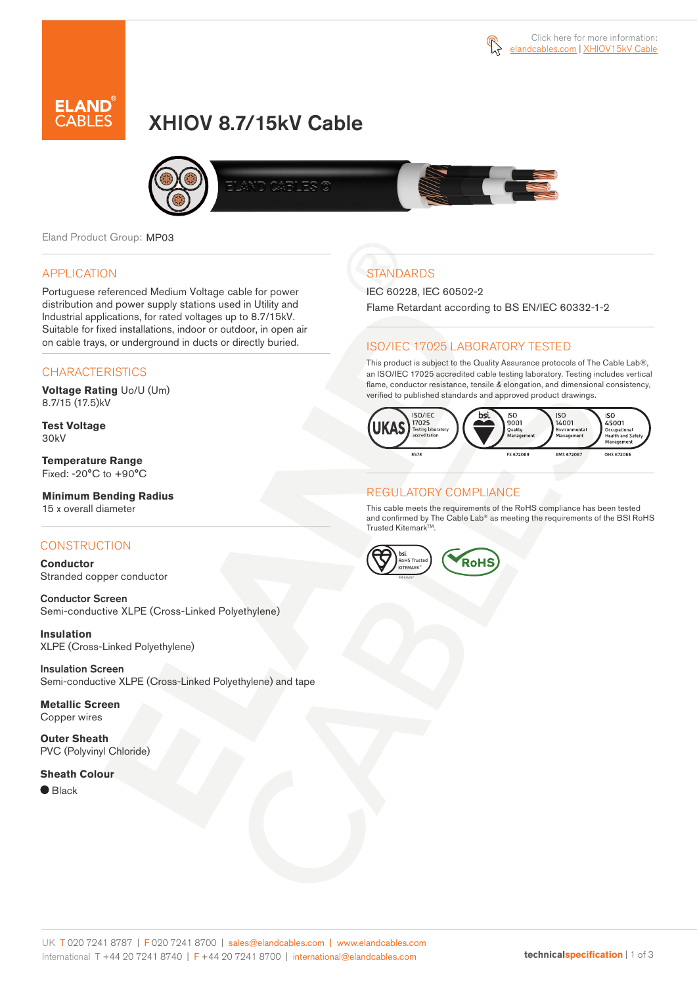



# XHIOV 8.7/15kV Cable



Eland Product Group: MP03

#### APPLICATION

Portuguese referenced Medium Voltage cable for power distribution and power supply stations used in Utility and Industrial applications, for rated voltages up to 8.7/15kV. Suitable for fixed installations, indoor or outdoor, in open air on cable trays, or underground in ducts or directly buried.

### **CHARACTERISTICS**

**Voltage Rating** Uo/U (Um) 8.7/15 (17.5)kV

**Test Voltage** 30kV

**Temperature Range** Fixed: -20°C to +90°C

### **Minimum Bending Radius**

15 x overall diameter

### **CONSTRUCTION**

**Conductor** Stranded copper conductor

Conductor Screen Semi-conductive XLPE (Cross-Linked Polyethylene)

**Insulation** XLPE (Cross-Linked Polyethylene)

Insulation Screen Semi-conductive XLPE (Cross-Linked Polyethylene) and tape

**Metallic Screen** Copper wires

**Outer Sheath** PVC (Polyvinyl Chloride)

#### **Sheath Colour**

 $\bullet$  Black

# **STANDARDS**

IEC 60228, IEC 60502-2

Flame Retardant according to BS EN/IEC 60332-1-2

### ISO/IEC 17025 LABORATORY TESTED

This product is subject to the Quality Assurance protocols of The Cable Lab®, an ISO/IEC 17025 accredited cable testing laboratory. Testing includes vertical flame, conductor resistance, tensile & elongation, and dimensional consistency, verified to published standards and approved product drawings.



### REGULATORY COMPLIANCE

This cable meets the requirements of the RoHS compliance has been tested and confirmed by The Cable Lab® as meeting the requirements of the BSI RoHS Trusted Kitemark™.

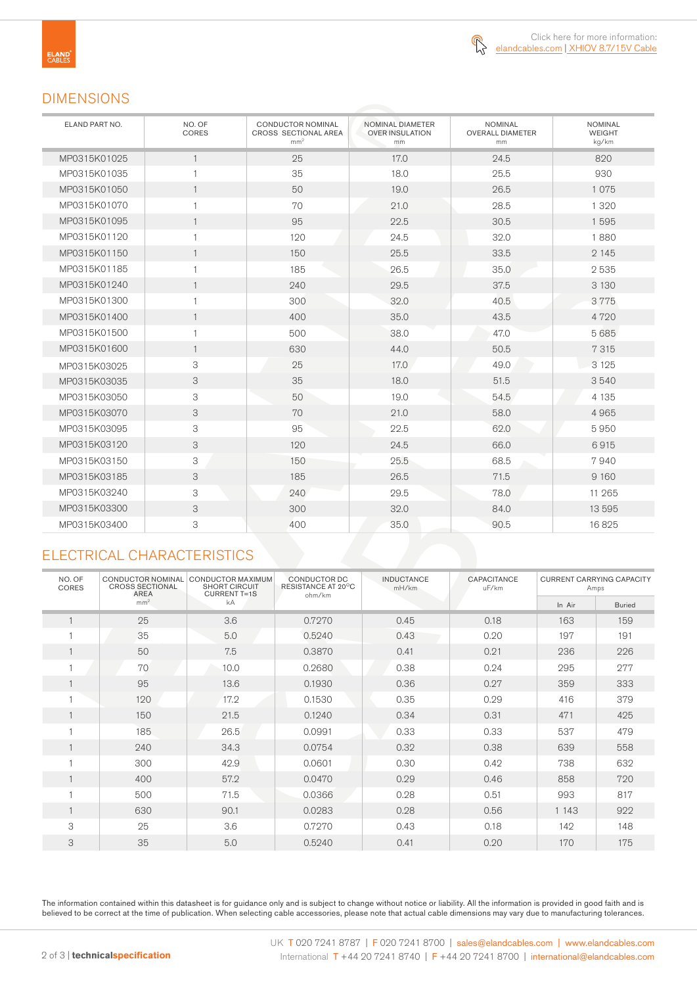

### DIMENSIONS

| ELAND PART NO. | NO. OF<br>CORES | <b>CONDUCTOR NOMINAL</b><br>CROSS SECTIONAL AREA<br>mm <sup>2</sup> | NOMINAL DIAMETER<br><b>OVER INSULATION</b><br>mm | <b>NOMINAL</b><br><b>OVERALL DIAMETER</b><br>mm | <b>NOMINAL</b><br>WEIGHT<br>kg/km |
|----------------|-----------------|---------------------------------------------------------------------|--------------------------------------------------|-------------------------------------------------|-----------------------------------|
| MP0315K01025   | $\mathbf{1}$    | 25                                                                  | 17.0                                             | 24.5                                            | 820                               |
| MP0315K01035   | $\mathbf{1}$    | 35                                                                  | 18.0                                             | 25.5                                            | 930                               |
| MP0315K01050   | $\mathbf{1}$    | 50                                                                  | 19.0                                             | 26.5                                            | 1075                              |
| MP0315K01070   | $\mathbf{1}$    | 70                                                                  | 21.0                                             | 28.5                                            | 1 3 2 0                           |
| MP0315K01095   | $\mathbf{1}$    | 95                                                                  | 22.5                                             | 30.5                                            | 1595                              |
| MP0315K01120   | $\mathbf{1}$    | 120                                                                 | 24.5                                             | 32.0                                            | 1880                              |
| MP0315K01150   | $\mathbf{1}$    | 150                                                                 | 25.5                                             | 33.5                                            | 2 1 4 5                           |
| MP0315K01185   | $\mathbf{1}$    | 185                                                                 | 26.5                                             | 35.0                                            | 2535                              |
| MP0315K01240   | $\mathbf{1}$    | 240                                                                 | 29.5                                             | 37.5                                            | 3 1 3 0                           |
| MP0315K01300   | $\mathbf{1}$    | 300                                                                 | 32.0                                             | 40.5                                            | 3775                              |
| MP0315K01400   | $\mathbf{1}$    | 400                                                                 | 35.0                                             | 43.5                                            | 4720                              |
| MP0315K01500   | $\mathbf{1}$    | 500                                                                 | 38.0                                             | 47.0                                            | 5685                              |
| MP0315K01600   | $\overline{1}$  | 630                                                                 | 44.0                                             | 50.5                                            | 7 3 1 5                           |
| MP0315K03025   | 3               | 25                                                                  | 17.0                                             | 49.0                                            | 3 1 2 5                           |
| MP0315K03035   | 3               | 35                                                                  | 18.0                                             | 51.5                                            | 3540                              |
| MP0315K03050   | 3               | 50                                                                  | 19.0                                             | 54.5                                            | 4 1 3 5                           |
| MP0315K03070   | 3               | 70                                                                  | 21.0                                             | 58.0                                            | 4965                              |
| MP0315K03095   | 3               | 95                                                                  | 22.5                                             | 62.0                                            | 5950                              |
| MP0315K03120   | 3               | 120                                                                 | 24.5                                             | 66.0                                            | 6915                              |
| MP0315K03150   | 3               | 150                                                                 | 25.5                                             | 68.5                                            | 7940                              |
| MP0315K03185   | 3               | 185                                                                 | 26.5                                             | 71.5                                            | 9 1 6 0                           |
| MP0315K03240   | 3               | 240                                                                 | 29.5                                             | 78.0                                            | 11 265                            |
| MP0315K03300   | 3               | 300                                                                 | 32.0                                             | 84.0                                            | 13 5 9 5                          |
| MP0315K03400   | 3               | 400                                                                 | 35.0                                             | 90.5                                            | 16825                             |

## ELECTRICAL CHARACTERISTICS

| NO. OF<br><b>CORES</b> | <b>CONDUCTOR NOMINAL</b><br><b>CROSS SECTIONAL</b><br>AREA | CONDUCTOR MAXIMUM<br><b>SHORT CIRCUIT</b><br><b>CURRENT T=1S</b> | CONDUCTOR DC<br>RESISTANCE AT 20°C<br>ohm/km | <b>INDUCTANCE</b><br>mH/km | CAPACITANCE<br>uF/km | <b>CURRENT CARRYING CAPACITY</b><br>Amps |               |
|------------------------|------------------------------------------------------------|------------------------------------------------------------------|----------------------------------------------|----------------------------|----------------------|------------------------------------------|---------------|
|                        | mm <sup>2</sup>                                            | kA                                                               |                                              |                            |                      | In Air                                   | <b>Buried</b> |
| $\mathbf{1}$           | 25                                                         | 3.6                                                              | 0.7270                                       | 0.45                       | 0.18                 | 163                                      | 159           |
|                        | 35                                                         | 5.0                                                              | 0.5240                                       | 0.43                       | 0.20                 | 197                                      | 191           |
| 1                      | 50                                                         | 7.5                                                              | 0.3870                                       | 0.41                       | 0.21                 | 236                                      | 226           |
|                        | 70                                                         | 10.0                                                             | 0.2680                                       | 0.38                       | 0.24                 | 295                                      | 277           |
| $\mathbf{1}$           | 95                                                         | 13.6                                                             | 0.1930                                       | 0.36                       | 0.27                 | 359                                      | 333           |
|                        | 120                                                        | 17.2                                                             | 0.1530                                       | 0.35                       | 0.29                 | 416                                      | 379           |
| $\mathbf{1}$           | 150                                                        | 21.5                                                             | 0.1240                                       | 0.34                       | 0.31                 | 471                                      | 425           |
| H                      | 185                                                        | 26.5                                                             | 0.0991                                       | 0.33                       | 0.33                 | 537                                      | 479           |
| 1                      | 240                                                        | 34.3                                                             | 0.0754                                       | 0.32                       | 0.38                 | 639                                      | 558           |
|                        | 300                                                        | 42.9                                                             | 0.0601                                       | 0.30                       | 0.42                 | 738                                      | 632           |
| 1                      | 400                                                        | 57.2                                                             | 0.0470                                       | 0.29                       | 0.46                 | 858                                      | 720           |
| H                      | 500                                                        | 71.5                                                             | 0.0366                                       | 0.28                       | 0.51                 | 993                                      | 817           |
| $\mathbf{1}$           | 630                                                        | 90.1                                                             | 0.0283                                       | 0.28                       | 0.56                 | 1 1 4 3                                  | 922           |
| 3                      | 25                                                         | 3.6                                                              | 0.7270                                       | 0.43                       | 0.18                 | 142                                      | 148           |
| 3                      | 35                                                         | 5.0                                                              | 0.5240                                       | 0.41                       | 0.20                 | 170                                      | 175           |

The information contained within this datasheet is for guidance only and is subject to change without notice or liability. All the information is provided in good faith and is believed to be correct at the time of publication. When selecting cable accessories, please note that actual cable dimensions may vary due to manufacturing tolerances.